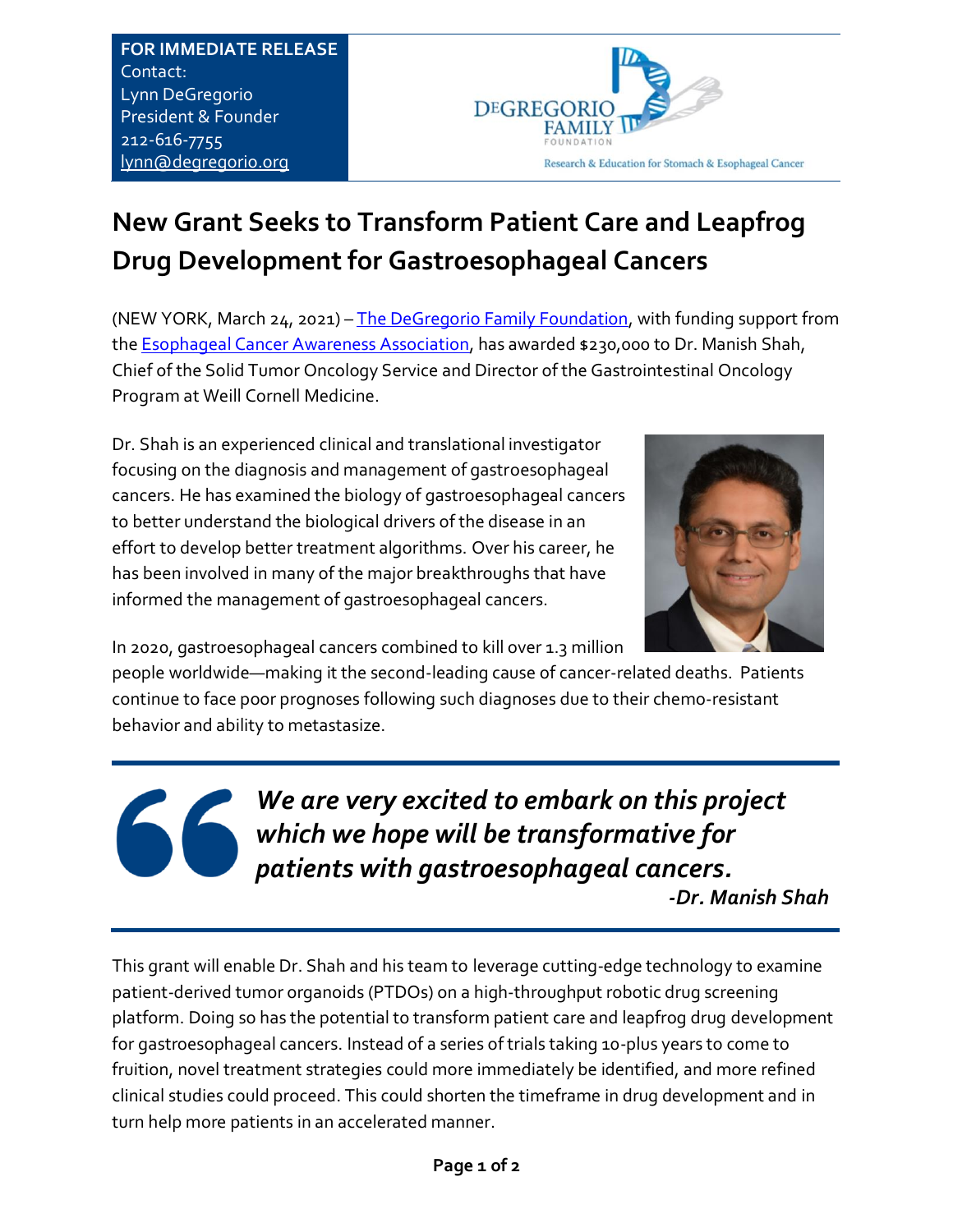**FOR IMMEDIATE RELEASE**  Contact: Lynn DeGregorio President & Founder 212-616-7755 [lynn@degregorio.org](mailto:lynn@degregorio.org)



## **New Grant Seeks to Transform Patient Care and Leapfrog Drug Development for Gastroesophageal Cancers**

(NEW YORK, March 24, 2021) – [The DeGregorio Family Foundation,](https://www.degregorio.org/) with funding support from the [Esophageal Cancer Awareness Association,](https://www.ecaware.org/) has awarded \$230,000 to Dr. Manish Shah, Chief of the Solid Tumor Oncology Service and Director of the Gastrointestinal Oncology Program at Weill Cornell Medicine.

Dr. Shah is an experienced clinical and translational investigator focusing on the diagnosis and management of gastroesophageal cancers. He has examined the biology of gastroesophageal cancers to better understand the biological drivers of the disease in an effort to develop better treatment algorithms. Over his career, he has been involved in many of the major breakthroughs that have informed the management of gastroesophageal cancers.



In 2020, gastroesophageal cancers combined to kill over 1.3 million

people worldwide—making it the second-leading cause of cancer-related deaths. Patients continue to face poor prognoses following such diagnoses due to their chemo-resistant behavior and ability to metastasize.

> *We are very excited to embark on this project which we hope will be transformative for patients with gastroesophageal cancers.*

 *-Dr. Manish Shah*

This grant will enable Dr. Shah and his team to leverage cutting-edge technology to examine patient-derived tumor organoids (PTDOs) on a high-throughput robotic drug screening platform. Doing so has the potential to transform patient care and leapfrog drug development for gastroesophageal cancers. Instead of a series of trials taking 10-plus years to come to fruition, novel treatment strategies could more immediately be identified, and more refined clinical studies could proceed. This could shorten the timeframe in drug development and in turn help more patients in an accelerated manner.